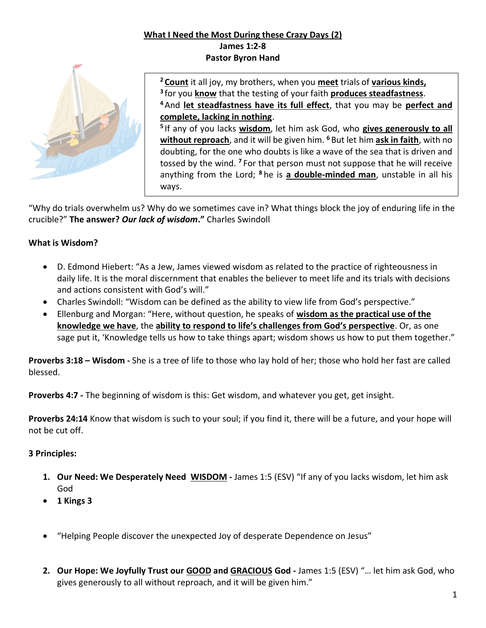### **What I Need the Most During these Crazy Days (2) James 1:2-8 Pastor Byron Hand**



 **Count** it all joy, my brothers, when you **meet** trials of **various kinds,** for you **know** that the testing of your faith **produces steadfastness**. And **let steadfastness have its full effect**, that you may be **perfect and complete, lacking in nothing**.

**5** If any of you lacks **wisdom**, let him ask God, who **gives generously to all without reproach**, and it will be given him. **<sup>6</sup>** But let him **ask in faith**, with no doubting, for the one who doubts is like a wave of the sea that is driven and tossed by the wind. **<sup>7</sup>** For that person must not suppose that he will receive anything from the Lord; **<sup>8</sup>** he is **a double-minded man**, unstable in all his ways.

"Why do trials overwhelm us? Why do we sometimes cave in? What things block the joy of enduring life in the crucible?" **The answer?** *Our lack of wisdom***."** Charles Swindoll

## **What is Wisdom?**

- D. Edmond Hiebert: "As a Jew, James viewed wisdom as related to the practice of righteousness in daily life. It is the moral discernment that enables the believer to meet life and its trials with decisions and actions consistent with God's will."
- Charles Swindoll: "Wisdom can be defined as the ability to view life from God's perspective."
- Ellenburg and Morgan: "Here, without question, he speaks of **wisdom as the practical use of the knowledge we have**, the **ability to respond to life's challenges from God's perspective**. Or, as one sage put it, 'Knowledge tells us how to take things apart; wisdom shows us how to put them together."

**Proverbs 3:18 – Wisdom -** She is a tree of life to those who lay hold of her; those who hold her fast are called blessed.

**Proverbs 4:7 -** The beginning of wisdom is this: Get wisdom, and whatever you get, get insight.

**Proverbs 24:14** Know that wisdom is such to your soul; if you find it, there will be a future, and your hope will not be cut off.

# **3 Principles:**

- **1. Our Need: We Desperately Need WISDOM -** James 1:5 (ESV) "If any of you lacks wisdom, let him ask God
- **1 Kings 3**
- "Helping People discover the unexpected Joy of desperate Dependence on Jesus"
- **2. Our Hope: We Joyfully Trust our GOOD and GRACIOUS God -** James 1:5 (ESV) "… let him ask God, who gives generously to all without reproach, and it will be given him."